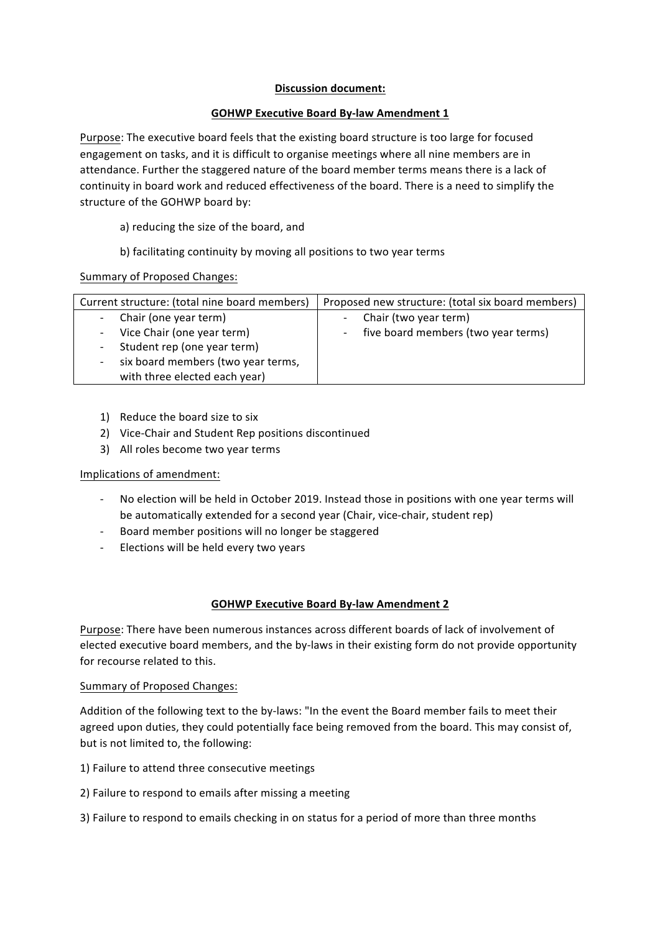#### **Discussion document:**

### **GOHWP Executive Board By-law Amendment 1**

Purpose: The executive board feels that the existing board structure is too large for focused engagement on tasks, and it is difficult to organise meetings where all nine members are in attendance. Further the staggered nature of the board member terms means there is a lack of continuity in board work and reduced effectiveness of the board. There is a need to simplify the structure of the GOHWP board by:

a) reducing the size of the board, and

b) facilitating continuity by moving all positions to two year terms

Summary of Proposed Changes:

| Current structure: (total nine board members) | Proposed new structure: (total six board members) |
|-----------------------------------------------|---------------------------------------------------|
| Chair (one year term)                         | Chair (two year term)<br>$\overline{\phantom{a}}$ |
| Vice Chair (one year term)                    | five board members (two year terms)<br>$\sim$ $-$ |
| Student rep (one year term)                   |                                                   |
| six board members (two year terms,            |                                                   |
| with three elected each year)                 |                                                   |

- 1) Reduce the board size to six
- 2) Vice-Chair and Student Rep positions discontinued
- 3) All roles become two year terms

# Implications of amendment:

- No election will be held in October 2019. Instead those in positions with one year terms will be automatically extended for a second year (Chair, vice-chair, student rep)
- Board member positions will no longer be staggered
- Elections will be held every two years

# **GOHWP Executive Board By-law Amendment 2**

Purpose: There have been numerous instances across different boards of lack of involvement of elected executive board members, and the by-laws in their existing form do not provide opportunity for recourse related to this.

# Summary of Proposed Changes:

Addition of the following text to the by-laws: "In the event the Board member fails to meet their agreed upon duties, they could potentially face being removed from the board. This may consist of, but is not limited to, the following:

- 1) Failure to attend three consecutive meetings
- 2) Failure to respond to emails after missing a meeting
- 3) Failure to respond to emails checking in on status for a period of more than three months